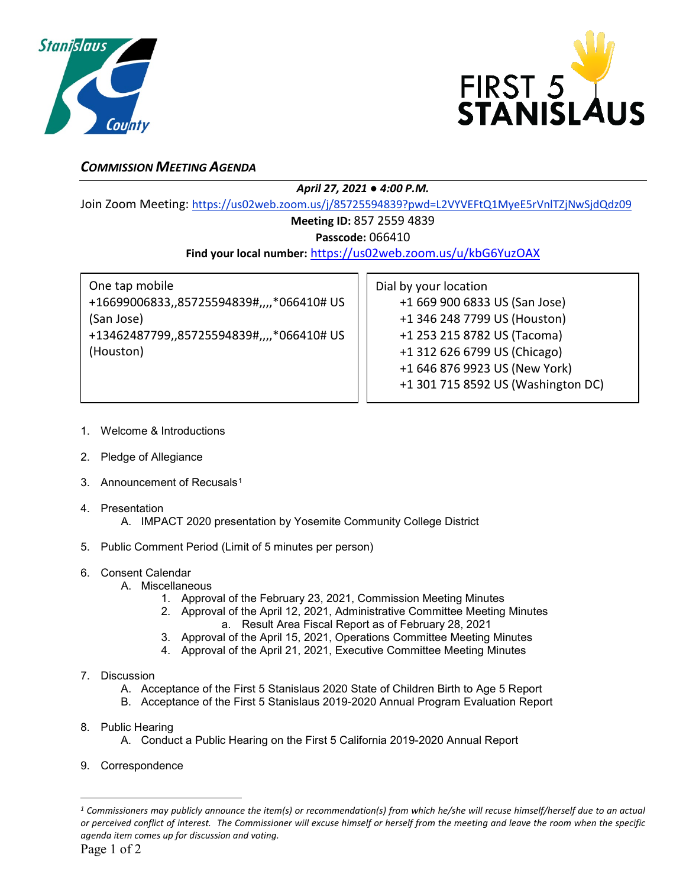



# *COMMISSION MEETING AGENDA*

### *April 27, 2021 ● 4:00 P.M.*

Join Zoom Meeting: <https://us02web.zoom.us/j/85725594839?pwd=L2VYVEFtQ1MyeE5rVnlTZjNwSjdQdz09>

## **Meeting ID:** 857 2559 4839

**Passcode:** 066410

### **Find your local number:** <https://us02web.zoom.us/u/kbG6YuzOAX>

One tap mobile +16699006833,,85725594839#,,,,\*066410# US (San Jose) +13462487799,,85725594839#,,,,\*066410# US (Houston)

Dial by your location +1 669 900 6833 US (San Jose) +1 346 248 7799 US (Houston) +1 253 215 8782 US (Tacoma) +1 312 626 6799 US (Chicago) +1 646 876 9923 US (New York) +1 301 715 8592 US (Washington DC)

- 1. Welcome & Introductions
- 2. Pledge of Allegiance
- 3. Announcement of Recusals<sup>[1](#page-0-0)</sup>
- 4. Presentation
	- A. IMPACT 2020 presentation by Yosemite Community College District
- 5. Public Comment Period (Limit of 5 minutes per person)
- 6. Consent Calendar
	- A. Miscellaneous
		- 1. Approval of the February 23, 2021, Commission Meeting Minutes
		- 2. Approval of the April 12, 2021, Administrative Committee Meeting Minutes a. Result Area Fiscal Report as of February 28, 2021
		- 3. Approval of the April 15, 2021, Operations Committee Meeting Minutes
		- 4. Approval of the April 21, 2021, Executive Committee Meeting Minutes
- 7. Discussion
	- A. Acceptance of the First 5 Stanislaus 2020 State of Children Birth to Age 5 Report
	- B. Acceptance of the First 5 Stanislaus 2019-2020 Annual Program Evaluation Report
- 8. Public Hearing
	- A. Conduct a Public Hearing on the First 5 California 2019-2020 Annual Report
- 9. Correspondence

 $\overline{a}$ 

<span id="page-0-0"></span>*<sup>1</sup> Commissioners may publicly announce the item(s) or recommendation(s) from which he/she will recuse himself/herself due to an actual or perceived conflict of interest. The Commissioner will excuse himself or herself from the meeting and leave the room when the specific agenda item comes up for discussion and voting.*